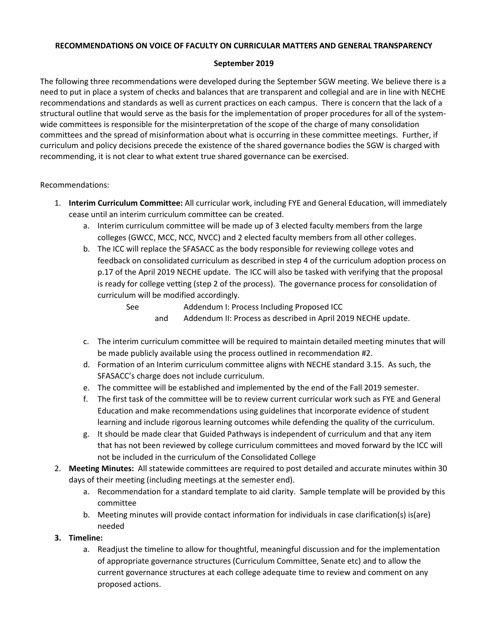# **RECOMMENDATIONS ON VOICE OF FACULTY ON CURRICULAR MATTERS AND GENERAL TRANSPARENCY**

### **September 2019**

The following three recommendations were developed during the September SGW meeting. We believe there is a need to put in place a system of checks and balances that are transparent and collegial and are in line with NECHE recommendations and standards as well as current practices on each campus. There is concern that the lack of a structural outline that would serve as the basis for the implementation of proper procedures for all of the systemwide committees is responsible for the misinterpretation of the scope of the charge of many consolidation committees and the spread of misinformation about what is occurring in these committee meetings. Further, if curriculum and policy decisions precede the existence of the shared governance bodies the SGW is charged with recommending, it is not clear to what extent true shared governance can be exercised.

# Recommendations:

- 1. **Interim Curriculum Committee:** All curricular work, including FYE and General Education, will immediately cease until an interim curriculum committee can be created.
	- a. Interim curriculum committee will be made up of 3 elected faculty members from the large colleges (GWCC, MCC, NCC, NVCC) and 2 elected faculty members from all other colleges.
	- b. The ICC will replace the SFASACC as the body responsible for reviewing college votes and feedback on consolidated curriculum as described in step 4 of the curriculum adoption process on p.17 of the April 2019 NECHE update. The ICC will also be tasked with verifying that the proposal is ready for college vetting (step 2 of the process). The governance process for consolidation of curriculum will be modified accordingly.

See Addendum I: Process Including Proposed ICC and Addendum II: Process as described in April 2019 NECHE update.

- c. The interim curriculum committee will be required to maintain detailed meeting minutes that will be made publicly available using the process outlined in recommendation #2.
- d. Formation of an Interim curriculum committee aligns with NECHE standard 3.15. As such, the SFASACC's charge does not include curriculum.
- e. The committee will be established and implemented by the end of the Fall 2019 semester.
- f. The first task of the committee will be to review current curricular work such as FYE and General Education and make recommendations using guidelines that incorporate evidence of student learning and include rigorous learning outcomes while defending the quality of the curriculum.
- g. It should be made clear that Guided Pathways is independent of curriculum and that any item that has not been reviewed by college curriculum committees and moved forward by the ICC will not be included in the curriculum of the Consolidated College
- 2. **Meeting Minutes:** All statewide committees are required to post detailed and accurate minutes within 30 days of their meeting (including meetings at the semester end).
	- a. Recommendation for a standard template to aid clarity. Sample template will be provided by this committee
	- b. Meeting minutes will provide contact information for individuals in case clarification(s) is(are) needed
- **3. Timeline:**
	- a. Readjust the timeline to allow for thoughtful, meaningful discussion and for the implementation of appropriate governance structures (Curriculum Committee, Senate etc) and to allow the current governance structures at each college adequate time to review and comment on any proposed actions.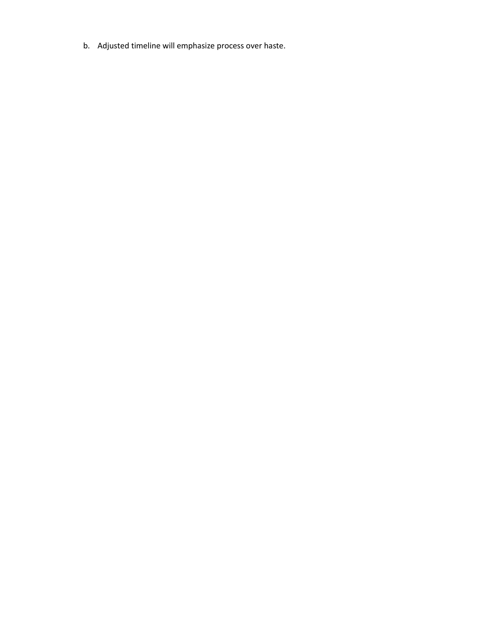b. Adjusted timeline will emphasize process over haste.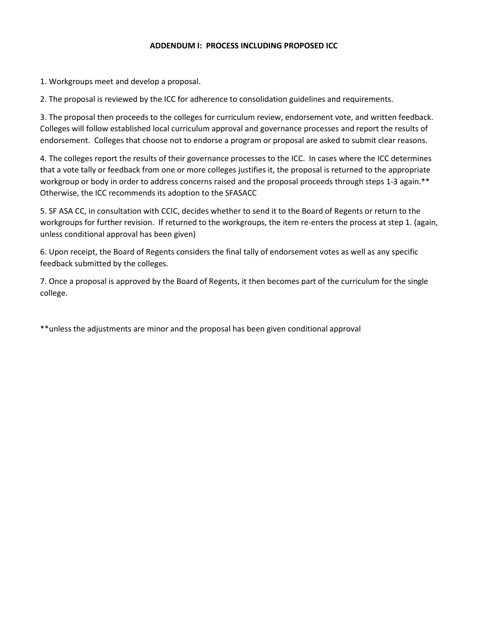#### **ADDENDUM I: PROCESS INCLUDING PROPOSED ICC**

1. Workgroups meet and develop a proposal.

2. The proposal is reviewed by the ICC for adherence to consolidation guidelines and requirements.

3. The proposal then proceeds to the colleges for curriculum review, endorsement vote, and written feedback. Colleges will follow established local curriculum approval and governance processes and report the results of endorsement. Colleges that choose not to endorse a program or proposal are asked to submit clear reasons.

4. The colleges report the results of their governance processes to the ICC. In cases where the ICC determines that a vote tally or feedback from one or more colleges justifies it, the proposal is returned to the appropriate workgroup or body in order to address concerns raised and the proposal proceeds through steps 1-3 again.\*\* Otherwise, the ICC recommends its adoption to the SFASACC

5. SF ASA CC, in consultation with CCIC, decides whether to send it to the Board of Regents or return to the workgroups for further revision. If returned to the workgroups, the item re-enters the process at step 1. (again, unless conditional approval has been given)

6. Upon receipt, the Board of Regents considers the final tally of endorsement votes as well as any specific feedback submitted by the colleges.

7. Once a proposal is approved by the Board of Regents, it then becomes part of the curriculum for the single college.

\*\*unless the adjustments are minor and the proposal has been given conditional approval